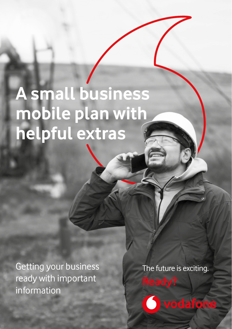# **A small business mobile plan with helpful extras**

Getting your business ready with important information

The future is exciting. **Ready?**

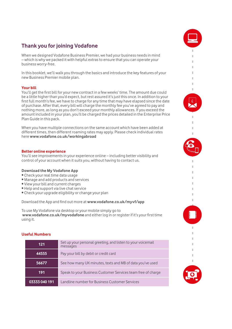# **Thank you for joining Vodafone**

When we designed Vodafone Business Premier, we had your business needs in mind – which is why we packed it with helpful extras to ensure that you can operate your business worry-free.

In this booklet, we'll walk you through the basics and introduce the key features of your new Business Premier mobile plan.

# **Your bill**

You'll get the first bill for your new contract in a few weeks' time. The amount due could be a little higher than you'd expect, but rest assured it's just this once. In addition to your first full month's fee, we have to charge for any time that may have elapsed since the date of purchase. After that, every bill will charge the monthly fee you've agreed to pay and nothing more, as long as you don't exceed your monthly allowances. If you exceed the amount included in your plan, you'll be charged the prices detailed in the Enterprise Price Plan Guide in this pack.

When you have multiple connections on the same account which have been added at different times, then different roaming rates may apply. Please check individual rates here **[www.vodafone.co.uk/workingabroad](http://www.vodafone.co.uk/workingabroad)**

#### **Better online experience**

You'll see improvements in your experience online – including better visibility and control of your account when it suits you, without having to contact us.

#### **Download the My Vodafone App**

- Check your real time data usage
- Manage and add products and services
- View your bill and current charges
- Help and support via live chat service
- Check your upgrade eligibility or change your plan

Download the App and find out more at **[www.vodafone.co.uk/myvf/app](http://www.vodafone.co.uk/myvf/app)** 

To use My Vodafone via desktop or your mobile simply go to **[www.vodafone.co.uk/myvodafone](http://www.vodafone.co.uk/myvodafone)** and either log in or register if it's your first time using it.

# **Useful Numbers**

| 121           | Set up your personal greeting, and listen to your voicemail<br>messages |
|---------------|-------------------------------------------------------------------------|
| 44555         | Pay your bill by debit or credit card                                   |
| 56677         | See how many UK minutes, texts and MB of data you've used               |
| 191           | Speak to your Business Customer Services team free of charge            |
| 03333 040 191 | Landline number for Business Customer Services                          |

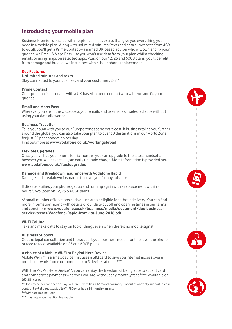# **Introducing your mobile plan**

Business Premier is packed with helpful business extras that give you everything you need in a mobile plan. Along with unlimited minutes/texts and data allowances from 4GB to 60GB, you'll get a Prime Contact – a named UK-based adviser who will own and fix your queries. An Email & Maps Pass – so you won't use data from your plan whilst checking emails or using maps on selected apps. Plus, on our 12, 25 and 60GB plans, you'll benefit from damage and breakdown insurance with 4-hour phone replacement.

# **Key Features**

# **Unlimited minutes and texts**

Stay connected to your business and your customers 24/7

#### **Prime Contact**

Get a personalised service with a UK-based, named contact who will own and fix your queries

#### **Email and Maps Pass**

Wherever you are in the UK, access your emails and use maps on selected apps without using your data allowance

# **Business Traveller**

Take your plan with you to our Europe zones at no extra cost. If business takes you further around the globe, you can also take your plan to over 60 destinations in our World Zone for just £5 per connection per day.

Ì.

Ĩ.

Ì. ï

Find out more at **[www.vodafone.co.uk/workingabroad](http://www.vodafone.co.uk/workingabroad)**

#### **Flexible Upgrades**

Once you've had your phone for six months, you can upgrade to the latest handsets, however you will have to pay an early upgrade charge. More information is provided here **[www.vodafone.co.uk/flexiupgrades](http://www.vodafone.co.uk/flexiupgrades)**

#### **Damage and Breakdown Insurance with Vodafone Rapid**

Damage and breakdown insurance to cover you for any mishaps

If disaster strikes your phone, get up and running again with a replacement within 4 hours\*. Available on 12, 25 & 60GB plans

\*A small number of locations and venues aren't eligible for 4-hour delivery. You can find more information, along with details of our daily cut off and opening times in our terms and conditions **[www.vodafone.co.uk/business/media/document/doc-business](https://www.vodafone.co.uk/business/media/document/doc-business-service-terms-Vodafone-Rapid-from-1st-June-2016.pdf)[service-terms-Vodafone-Rapid-from-1st-June-2016.pdf](https://www.vodafone.co.uk/business/media/document/doc-business-service-terms-Vodafone-Rapid-from-1st-June-2016.pdf)**

# **Wi-Fi Calling**

Take and make calls to stay on top of things even when there's no mobile signal

#### **Business Support**

Get the legal consultation and the support your business needs - online, over the phone or face to face. Available on 25 and 60GB plans

# **A choice of a Mobile Wi-Fi or PayPal Here Device**

Mobile Wi-Fi\*\* is a small device that uses a SIM card to give you internet access over a mobile network. You can connect up to 5 devices at once\*\*\*

With the PayPal Here Device\*\*, you can enjoy the freedom of being able to accept card and contactless payments wherever you are, without any monthly fees\*\*\*\*. Available on 60GB plans

\*\*One device per connection. PayPal Here Device has a 12 month warranty. For out of warranty support, please contact PayPal directly. Mobile Wi-Fi Device has a 24 month warranty

\*\*\*SIM card not included

\*\*\*\*PayPal per-transaction fees apply